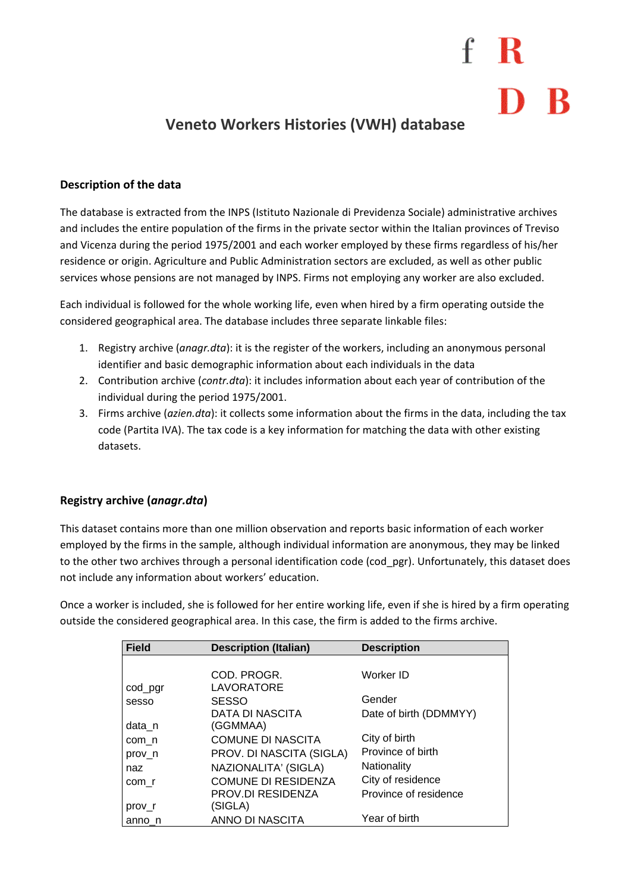# $f \, R$

### **Veneto Workers Histories (VWH) database**

#### **Description of the data**

The database is extracted from the INPS (Istituto Nazionale di Previdenza Sociale) administrative archives and includes the entire population of the firms in the private sector within the Italian provinces of Treviso and Vicenza during the period 1975/2001 and each worker employed by these firms regardless of his/her residence or origin. Agriculture and Public Administration sectors are excluded, as well as other public services whose pensions are not managed by INPS. Firms not employing any worker are also excluded.

Each individual is followed for the whole working life, even when hired by a firm operating outside the considered geographical area. The database includes three separate linkable files:

- 1. Registry archive (*anagr.dta*): it is the register of the workers, including an anonymous personal identifier and basic demographic information about each individuals in the data
- 2. Contribution archive (*contr.dta*): it includes information about each year of contribution of the individual during the period 1975/2001.
- 3. Firms archive (*azien.dta*): it collects some information about the firms in the data, including the tax code (Partita IVA). The tax code is a key information for matching the data with other existing datasets.

### **Registry archive (***anagr.dta***)**

This dataset contains more than one million observation and reports basic information of each worker employed by the firms in the sample, although individual information are anonymous, they may be linked to the other two archives through a personal identification code (cod\_pgr). Unfortunately, this dataset does not include any information about workers' education.

Once a worker is included, she is followed for her entire working life, even if she is hired by a firm operating outside the considered geographical area. In this case, the firm is added to the firms archive.

| <b>Field</b> | <b>Description (Italian)</b> | <b>Description</b>     |
|--------------|------------------------------|------------------------|
|              |                              |                        |
|              | COD. PROGR.                  | Worker ID              |
| cod_pgr      | <b>LAVORATORE</b>            |                        |
| sesso        | <b>SESSO</b>                 | Gender                 |
|              | <b>DATA DI NASCITA</b>       | Date of birth (DDMMYY) |
| data_n       | (GGMMAA)                     |                        |
| com n        | <b>COMUNE DI NASCITA</b>     | City of birth          |
| prov n       | PROV. DI NASCITA (SIGLA)     | Province of birth      |
| naz          | NAZIONALITA' (SIGLA)         | Nationality            |
| com r        | <b>COMUNE DI RESIDENZA</b>   | City of residence      |
|              | <b>PROV.DI RESIDENZA</b>     | Province of residence  |
| prov r       | (SIGLA)                      |                        |
| anno n       | ANNO DI NASCITA              | Year of birth          |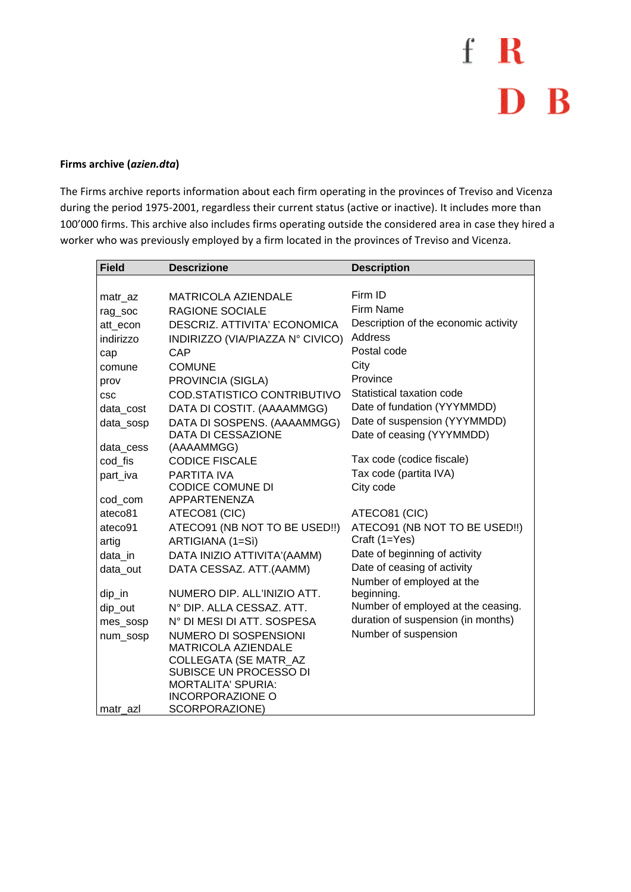### f R D B

#### Firms archive (azien.dta)

The Firms archive reports information about each firm operating in the provinces of Treviso and Vicenza during the period 1975-2001, regardless their current status (active or inactive). It includes more than 100'000 firms. This archive also includes firms operating outside the considered area in case they hired a worker who was previously employed by a firm located in the provinces of Treviso and Vicenza.

| <b>Field</b>       | <b>Descrizione</b>                                   | <b>Description</b>                             |
|--------------------|------------------------------------------------------|------------------------------------------------|
|                    |                                                      |                                                |
| matr_az            | MATRICOLA AZIENDALE                                  | Firm ID                                        |
| rag_soc            | <b>RAGIONE SOCIALE</b>                               | Firm Name                                      |
| att econ           | DESCRIZ, ATTIVITA' ECONOMICA                         | Description of the economic activity           |
| indirizzo          | INDIRIZZO (VIA/PIAZZA Nº CIVICO)                     | Address                                        |
| cap                | CAP                                                  | Postal code                                    |
| comune             | <b>COMUNE</b>                                        | City                                           |
| prov               | PROVINCIA (SIGLA)                                    | Province                                       |
| <b>CSC</b>         | COD.STATISTICO CONTRIBUTIVO                          | Statistical taxation code                      |
| data_cost          | DATA DI COSTIT. (AAAAMMGG)                           | Date of fundation (YYYMMDD)                    |
| data_sosp          | DATA DI SOSPENS. (AAAAMMGG)                          | Date of suspension (YYYMMDD)                   |
|                    | <b>DATA DI CESSAZIONE</b>                            | Date of ceasing (YYYMMDD)                      |
| data_cess          | (AAAAMMGG)                                           |                                                |
| cod fis            | <b>CODICE FISCALE</b>                                | Tax code (codice fiscale)                      |
| part_iva           | PARTITA IVA                                          | Tax code (partita IVA)                         |
|                    | <b>CODICE COMUNE DI</b><br><b>APPARTENENZA</b>       | City code                                      |
| cod_com<br>ateco81 | ATECO81 (CIC)                                        | ATECO81 (CIC)                                  |
|                    |                                                      |                                                |
| ateco91<br>artig   | ATECO91 (NB NOT TO BE USED!!)<br>ARTIGIANA (1=Sì)    | ATECO91 (NB NOT TO BE USED!!)<br>Craft (1=Yes) |
| data in            | DATA INIZIO ATTIVITA'(AAMM)                          | Date of beginning of activity                  |
| data_out           | DATA CESSAZ. ATT.(AAMM)                              | Date of ceasing of activity                    |
|                    |                                                      | Number of employed at the                      |
| $dip_in$           | NUMERO DIP. ALL'INIZIO ATT.                          | beginning.                                     |
| dip_out            | N° DIP. ALLA CESSAZ. ATT.                            | Number of employed at the ceasing.             |
| mes_sosp           | N° DI MESI DI ATT. SOSPESA                           | duration of suspension (in months)             |
| num_sosp           | NUMERO DI SOSPENSIONI                                | Number of suspension                           |
|                    | <b>MATRICOLA AZIENDALE</b>                           |                                                |
|                    | COLLEGATA (SE MATR_AZ                                |                                                |
|                    | SUBISCE UN PROCESSO DI                               |                                                |
|                    | <b>MORTALITA' SPURIA:</b><br><b>INCORPORAZIONE O</b> |                                                |
| matr azl           | SCORPORAZIONE)                                       |                                                |